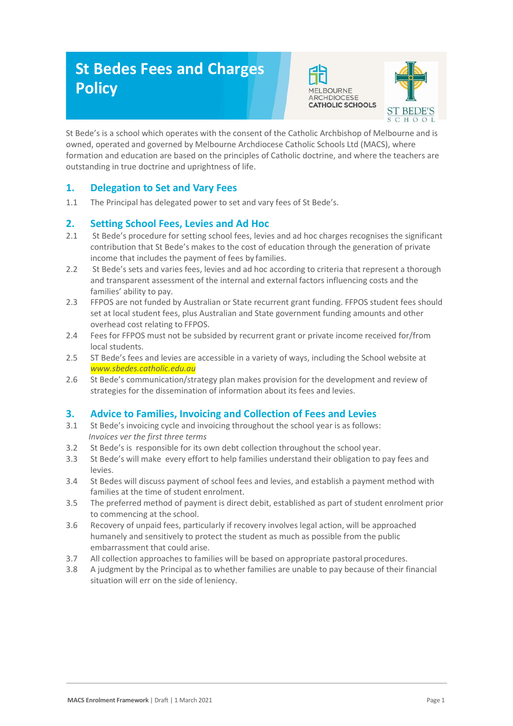# **St Bedes Fees and Charges Policy**





St Bede's is a school which operates with the consent of the Catholic Archbishop of Melbourne and is owned, operated and governed by Melbourne Archdiocese Catholic Schools Ltd (MACS), where formation and education are based on the principles of Catholic doctrine, and where the teachers are outstanding in true doctrine and uprightness of life.

### **1. Delegation to Set and Vary Fees**

1.1 The Principal has delegated power to set and vary fees of St Bede's.

#### **2. Setting School Fees, Levies and Ad Hoc**

- 2.1 St Bede's procedure for setting school fees, levies and ad hoc charges recognises the significant contribution that St Bede's makes to the cost of education through the generation of private income that includes the payment of fees by families.
- 2.2 St Bede's sets and varies fees, levies and ad hoc according to criteria that represent a thorough and transparent assessment of the internal and external factors influencing costs and the families' ability to pay.
- 2.3 FFPOS are not funded by Australian or State recurrent grant funding. FFPOS student fees should set at local student fees, plus Australian and State government funding amounts and other overhead cost relating to FFPOS.
- 2.4 Fees for FFPOS must not be subsided by recurrent grant or private income received for/from local students.
- 2.5 ST Bede's fees and levies are accessible in a variety of ways, including the School website at *www.sbedes.catholic.edu.au*
- 2.6 St Bede's communication/strategy plan makes provision for the development and review of strategies for the dissemination of information about its fees and levies.

#### **3. Advice to Families, Invoicing and Collection of Fees and Levies**

- 3.1 St Bede's invoicing cycle and invoicing throughout the school year is as follows:  *Invoices ver the first three terms*
- 3.2 St Bede's is responsible for its own debt collection throughout the school year.
- 3.3 St Bede's will make every effort to help families understand their obligation to pay fees and levies.
- 3.4 St Bedes will discuss payment of school fees and levies, and establish a payment method with families at the time of student enrolment.
- 3.5 The preferred method of payment is direct debit, established as part of student enrolment prior to commencing at the school.
- 3.6 Recovery of unpaid fees, particularly if recovery involves legal action, will be approached humanely and sensitively to protect the student as much as possible from the public embarrassment that could arise.
- 3.7 All collection approaches to families will be based on appropriate pastoral procedures.
- 3.8 A judgment by the Principal as to whether families are unable to pay because of their financial situation will err on the side of leniency.